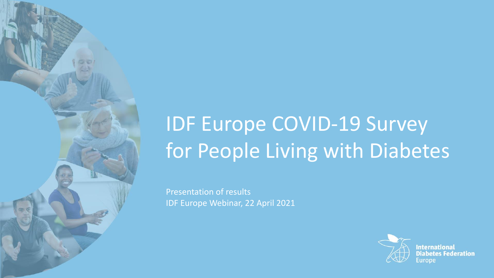# IDF Europe COVID-19 Survey for People Living with Diabetes

Presentation of results IDF Europe Webinar, 22 April 2021



**International Diabetes Federation**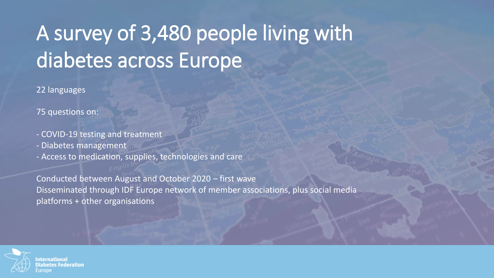# A survey of 3,480 people living with diabetes across Europe

22 languages

75 questions on:

- COVID-19 testing and treatment

- Diabetes management

- Access to medication, supplies, technologies and care

Conducted between August and October 2020 – first wave Disseminated through IDF Europe network of member associations, plus social media platforms + other organisations

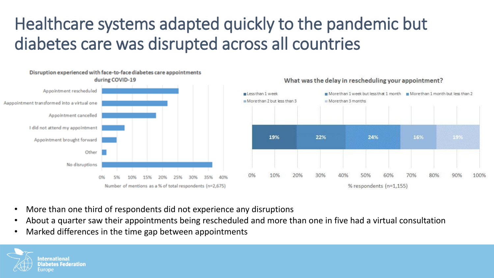## Healthcare systems adapted quickly to the pandemic but diabetes care was disrupted across all countries







- More than one third of respondents did not experience any disruptions
- About a quarter saw their appointments being rescheduled and more than one in five had a virtual consultation
- Marked differences in the time gap between appointments

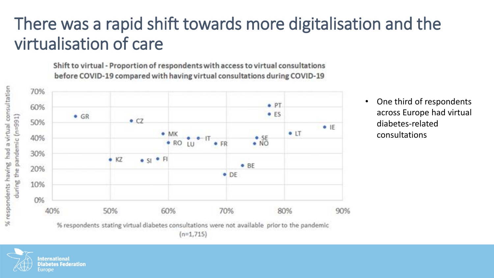## There was a rapid shift towards more digitalisation and the virtualisation of care

Shift to virtual - Proportion of respondents with access to virtual consultations before COVID-19 compared with having virtual consultations during COVID-19





<sup>•</sup> One third of respondents across Europe had virtual diabetes-related consultations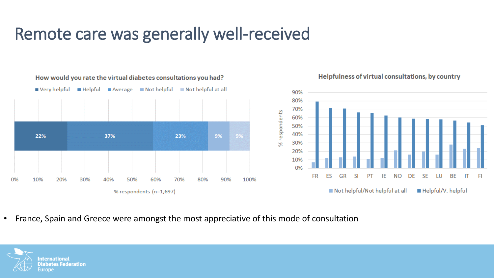### Remote care was generally well-received

How would you rate the virtual diabetes consultations you had?



Helpfulness of virtual consultations, by country

• France, Spain and Greece were amongst the most appreciative of this mode of consultation

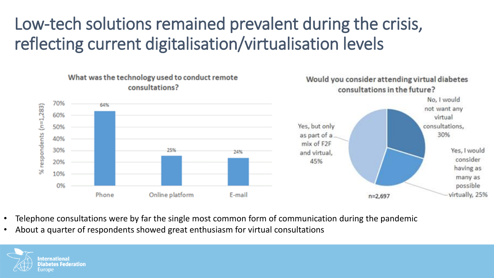### Low-tech solutions remained prevalent during the crisis, reflecting current digitalisation/virtualisation levels



- Telephone consultations were by far the single most common form of communication during the pandemic
- About a quarter of respondents showed great enthusiasm for virtual consultations

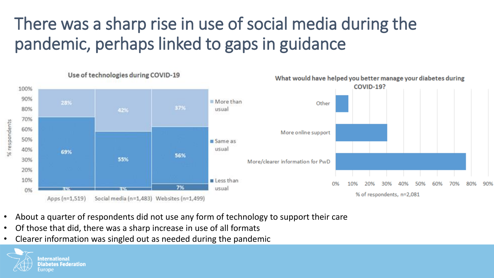# There was a sharp rise in use of social media during the pandemic, perhaps linked to gaps in guidance



- About a quarter of respondents did not use any form of technology to support their care
- Of those that did, there was a sharp increase in use of all formats
- Clearer information was singled out as needed during the pandemic

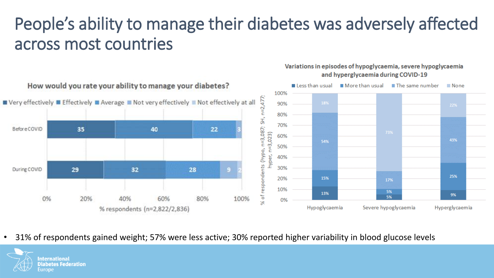## People's ability to manage their diabetes was adversely affected across most countries



Variations in episodes of hypoglycaemia, severe hypoglycaemia and hyperglycaemia during COVID-19

• 31% of respondents gained weight; 57% were less active; 30% reported higher variability in blood glucose levels

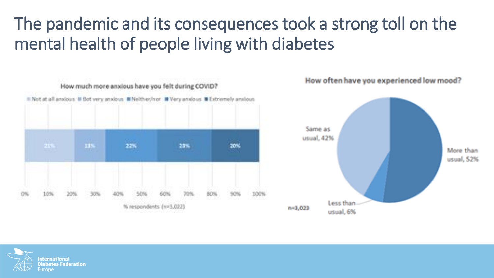### The pandemic and its consequences took a strong toll on the mental health of people living with diabetes



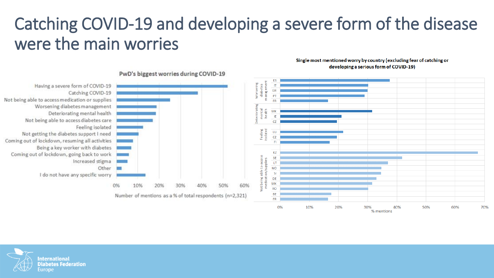### Catching COVID-19 and developing a severe form of the disease were the main worries

Single most mentioned worry by country (excluding fear of catching or developing a serious form of COVID-19)



#### PwD's biggest worries during COVID-19

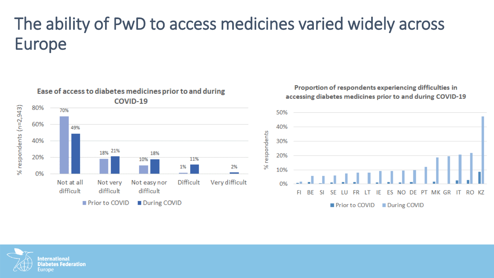# The ability of PwD to access medicines varied widely across Europe



#### Proportion of respondents experiencing difficulties in accessing diabetes medicines prior to and during COVID-19



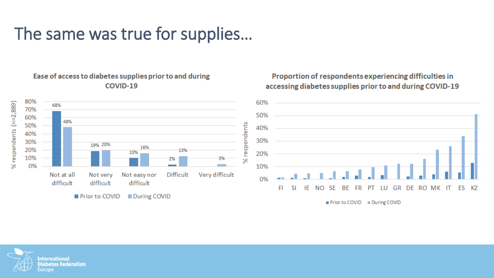### The same was true for supplies…

#### Ease of access to diabetes supplies prior to and during COVID-19



#### Proportion of respondents experiencing difficulties in accessing diabetes supplies prior to and during COVID-19



Prior to COVID During COVID

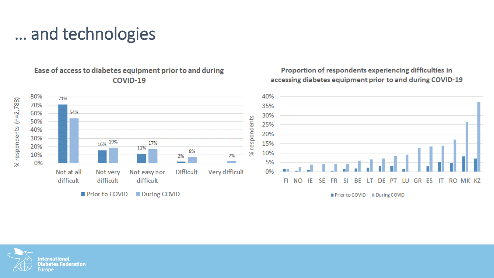### … and technologies



Proportion of respondents experiencing difficulties in accessing diabetes equipment prior to and during COVID-19

Ease of access to diabetes equipment prior to and during COVID-19

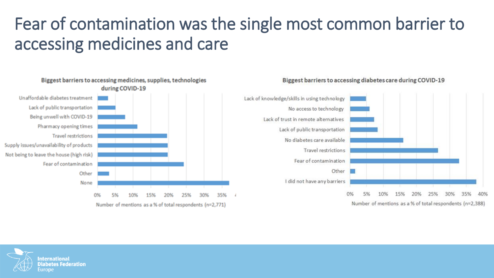### Fear of contamination was the single most common barrier to accessing medicines and care







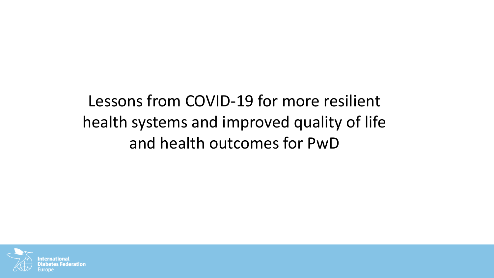Lessons from COVID-19 for more resilient health systems and improved quality of life and health outcomes for PwD

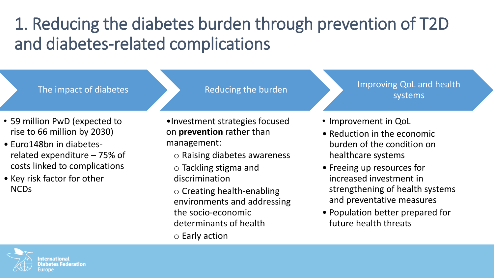# 1. Reducing the diabetes burden through prevention of T2D and diabetes-related complications

The impact of diabetes

Reducing the burden

- 59 million PwD (expected to rise to 66 million by 2030)
- Euro148bn in diabetesrelated expenditure – 75% of costs linked to complications
- Key risk factor for other NCDs
- •Investment strategies focused on **prevention** rather than management:
	- o Raising diabetes awareness
	- o Tackling stigma and discrimination
	- o Creating health-enabling environments and addressing the socio-economic determinants of health
	- o Early action
- Improvement in QoL
- Reduction in the economic burden of the condition on healthcare systems
- Freeing up resources for increased investment in strengthening of health systems and preventative measures

Improving QoL and health

systems

• Population better prepared for future health threats

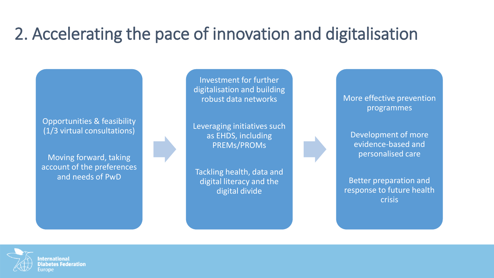## 2. Accelerating the pace of innovation and digitalisation

Opportunities & feasibility (1/3 virtual consultations)

Moving forward, taking account of the preferences and needs of PwD

Investment for further digitalisation and building robust data networks

Leveraging initiatives such as EHDS, including PREMs/PROMs

Tackling health, data and digital literacy and the digital divide

More effective prevention programmes

Development of more evidence-based and personalised care

Better preparation and response to future health crisis

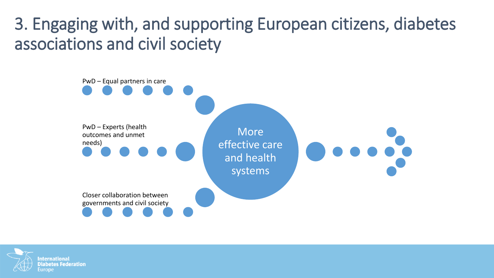### 3. Engaging with, and supporting European citizens, diabetes associations and civil society



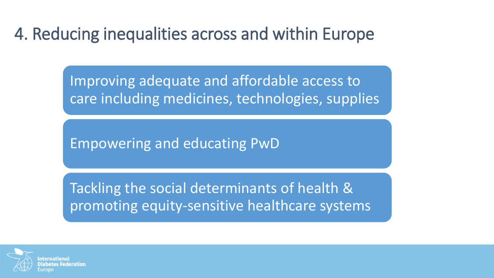### 4. Reducing inequalities across and within Europe

Improving adequate and affordable access to care including medicines, technologies, supplies

Empowering and educating PwD

Tackling the social determinants of health & promoting equity-sensitive healthcare systems